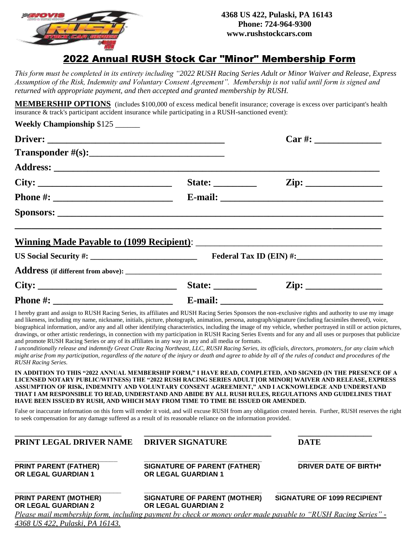

## 2022 Annual RUSH Stock Car "Minor" Membership Form

*This form must be completed in its entirety including "2022 RUSH Racing Series Adult or Minor Waiver and Release, Express Assumption of the Risk, Indemnity and Voluntary Consent Agreement". Membership is not valid until form is signed and returned with appropriate payment, and then accepted and granted membership by RUSH.* 

**MEMBERSHIP OPTIONS** (includes \$100,000 of excess medical benefit insurance; coverage is excess over participant's health insurance & track's participant accident insurance while participating in a RUSH-sanctioned event):

| Weekly Championship \$125 |                                                                                                                                                                                                                                                                                                                                                                                                                          |           |  |
|---------------------------|--------------------------------------------------------------------------------------------------------------------------------------------------------------------------------------------------------------------------------------------------------------------------------------------------------------------------------------------------------------------------------------------------------------------------|-----------|--|
|                           |                                                                                                                                                                                                                                                                                                                                                                                                                          | $Car \#:$ |  |
|                           |                                                                                                                                                                                                                                                                                                                                                                                                                          |           |  |
|                           |                                                                                                                                                                                                                                                                                                                                                                                                                          |           |  |
| City:                     | State: $\frac{1}{\sqrt{1-\frac{1}{2}}\sqrt{1-\frac{1}{2}}\sqrt{1-\frac{1}{2}}\sqrt{1-\frac{1}{2}}\sqrt{1-\frac{1}{2}}\sqrt{1-\frac{1}{2}}\sqrt{1-\frac{1}{2}}\sqrt{1-\frac{1}{2}}\sqrt{1-\frac{1}{2}}\sqrt{1-\frac{1}{2}}\sqrt{1-\frac{1}{2}}\sqrt{1-\frac{1}{2}}\sqrt{1-\frac{1}{2}}\sqrt{1-\frac{1}{2}}\sqrt{1-\frac{1}{2}}\sqrt{1-\frac{1}{2}}\sqrt{1-\frac{1}{2}}\sqrt{1-\frac{1}{2}}\sqrt{1-\frac{1}{2$             |           |  |
|                           |                                                                                                                                                                                                                                                                                                                                                                                                                          |           |  |
|                           |                                                                                                                                                                                                                                                                                                                                                                                                                          |           |  |
|                           |                                                                                                                                                                                                                                                                                                                                                                                                                          |           |  |
|                           |                                                                                                                                                                                                                                                                                                                                                                                                                          |           |  |
|                           |                                                                                                                                                                                                                                                                                                                                                                                                                          |           |  |
| City:                     | State: $\frac{1}{\sqrt{1-\frac{1}{2}}}\frac{1}{\sqrt{1-\frac{1}{2}}}\frac{1}{\sqrt{1-\frac{1}{2}}}\frac{1}{\sqrt{1-\frac{1}{2}}}\frac{1}{\sqrt{1-\frac{1}{2}}}\frac{1}{\sqrt{1-\frac{1}{2}}}\frac{1}{\sqrt{1-\frac{1}{2}}}\frac{1}{\sqrt{1-\frac{1}{2}}}\frac{1}{\sqrt{1-\frac{1}{2}}}\frac{1}{\sqrt{1-\frac{1}{2}}}\frac{1}{\sqrt{1-\frac{1}{2}}}\frac{1}{\sqrt{1-\frac{1}{2}}}\frac{1}{\sqrt{1-\frac{1}{2}}}\frac{1}{$ |           |  |
|                           |                                                                                                                                                                                                                                                                                                                                                                                                                          |           |  |

I hereby grant and assign to RUSH Racing Series, its affiliates and RUSH Racing Series Sponsors the non-exclusive rights and authority to use my image and likeness, including my name, nickname, initials, picture, photograph, animation, persona, autograph/signature (including facsimiles thereof), voice, biographical information, and/or any and all other identifying characteristics, including the image of my vehicle, whether portrayed in still or action pictures, drawings, or other artistic renderings, in connection with my participation in RUSH Racing Series Events and for any and all uses or purposes that publicize and promote RUSH Racing Series or any of its affiliates in any way in any and all media or formats.

*I unconditionally release and indemnify Great Crate Racing Northeast, LLC, RUSH Racing Series, its officials, directors, promoters, for any claim which might arise from my participation, regardless of the nature of the injury or death and agree to abide by all of the rules of conduct and procedures of the RUSH Racing Series.*

**IN ADDITION TO THIS "2022 ANNUAL MEMBERSHIP FORM," I HAVE READ, COMPLETED, AND SIGNED (IN THE PRESENCE OF A LICENSED NOTARY PUBLIC/WITNESS) THE "2022 RUSH RACING SERIES ADULT [OR MINOR] WAIVER AND RELEASE, EXPRESS ASSUMPTION OF RISK, INDEMNITY AND VOLUNTARY CONSENT AGREEMENT," AND I ACKNOWLEDGE AND UNDERSTAND THAT I AM RESPONSIBLE TO READ, UNDERSTAND AND ABIDE BY ALL RUSH RULES, REGULATIONS AND GUIDELINES THAT HAVE BEEN ISSUED BY RUSH, AND WHICH MAY FROM TIME TO TIME BE ISSUED OR AMENDED.**

False or inaccurate information on this form will render it void, and will excuse RUSH from any obligation created herein. Further, RUSH reserves the right to seek compensation for any damage suffered as a result of its reasonable reliance on the information provided.

| to seek compensation for any damage suffered as a result of its reasonable reliance on the information provided. |                                                                   |                                    |  |  |
|------------------------------------------------------------------------------------------------------------------|-------------------------------------------------------------------|------------------------------------|--|--|
| PRINT LEGAL DRIVER NAME                                                                                          | <b>DRIVER SIGNATURE</b>                                           | <b>DATE</b>                        |  |  |
| <b>PRINT PARENT (FATHER)</b><br><b>OR LEGAL GUARDIAN 1</b>                                                       | <b>SIGNATURE OF PARENT (FATHER)</b><br><b>OR LEGAL GUARDIAN 1</b> | <b>DRIVER DATE OF BIRTH*</b>       |  |  |
| <b>PRINT PARENT (MOTHER)</b><br>OR LEGAL GUARDIAN 2                                                              | <b>SIGNATURE OF PARENT (MOTHER)</b><br><b>OR LEGAL GUARDIAN 2</b> | <b>SIGNATURE OF 1099 RECIPIENT</b> |  |  |

*Please mail membership form, including payment by check or money order made payable to "RUSH Racing Series" - 4368 US 422, Pulaski, PA 16143.*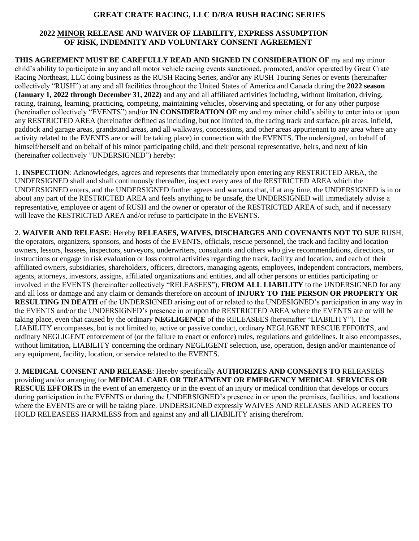## **GREAT CRATE RACING, LLC D/B/A RUSH RACING SERIES**

## **2022 MINOR RELEASE AND WAIVER OF LIABILITY, EXPRESS ASSUMPTION OF RISK, INDEMNITY AND VOLUNTARY CONSENT AGREEMENT**

**THIS AGREEMENT MUST BE CAREFULLY READ AND SIGNED IN CONSIDERATION OF** my and my minor child's ability to participate in any and all motor vehicle racing events sanctioned, promoted, and/or operated by Great Crate Racing Northeast, LLC doing business as the RUSH Racing Series, and/or any RUSH Touring Series or events (hereinafter collectively "RUSH") at any and all facilities throughout the United States of America and Canada during the **2022 season (January 1, 2022 through December 31, 2022)** and any and all affiliated activities including, without limitation, driving, racing, training, learning, practicing, competing, maintaining vehicles, observing and spectating, or for any other purpose (hereinafter collectively "EVENTS") and/or **IN CONSIDERATION OF** my and my minor child's ability to enter into or upon any RESTRICTED AREA (hereinafter defined as including, but not limited to, the racing track and surface, pit areas, infield, paddock and garage areas, grandstand areas, and all walkways, concessions, and other areas appurtenant to any area where any activity related to the EVENTS are or will be taking place) in connection with the EVENTS. The undersigned, on behalf of himself/herself and on behalf of his minor participating child, and their personal representative, heirs, and next of kin (hereinafter collectively "UNDERSIGNED") hereby:

1. **INSPECTION**: Acknowledges, agrees and represents that immediately upon entering any RESTRICTED AREA, the UNDERSIGNED shall and shall continuously thereafter, inspect every area of the RESTRICTED AREA which the UNDERSIGNED enters, and the UNDERSIGNED further agrees and warrants that, if at any time, the UNDERSIGNED is in or about any part of the RESTRICTED AREA and feels anything to be unsafe, the UNDERSIGNED will immediately advise a representative, employee or agent of RUSH and the owner or operator of the RESTRICTED AREA of such, and if necessary will leave the RESTRICTED AREA and/or refuse to participate in the EVENTS.

2. **WAIVER AND RELEASE**: Hereby **RELEASES, WAIVES, DISCHARGES AND COVENANTS NOT TO SUE** RUSH, the operators, organizers, sponsors, and hosts of the EVENTS, officials, rescue personnel, the track and facility and location owners, lessors, leasees, inspectors, surveyors, underwriters, consultants and others who give recommendations, directions, or instructions or engage in risk evaluation or loss control activities regarding the track, facility and location, and each of their affiliated owners, subsidiaries, shareholders, officers, directors, managing agents, employees, independent contractors, members, agents, attorneys, investors, assigns, affiliated organizations and entities, and all other persons or entities participating or involved in the EVENTS (hereinafter collectively "RELEASEES"), **FROM ALL LIABILITY** to the UNDERSIGNED for any and all loss or damage and any claim or demands therefore on account of **INJURY TO THE PERSON OR PROPERTY OR RESULTING IN DEATH** of the UNDERSIGNED arising out of or related to the UNDESIGNED's participation in any way in the EVENTS and/or the UNDERSIGNED's presence in or upon the RESTRICTED AREA where the EVENTS are or will be taking place, even that caused by the ordinary **NEGLIGENCE** of the RELEASEES (hereinafter "LIABILITY"). The LIABILITY encompasses, but is not limited to, active or passive conduct, ordinary NEGLIGENT RESCUE EFFORTS, and ordinary NEGLIGENT enforcement of (or the failure to enact or enforce) rules, regulations and guidelines. It also encompasses, without limitation, LIABILITY concerning the ordinary NEGLIGENT selection, use, operation, design and/or maintenance of any equipment, facility, location, or service related to the EVENTS.

3. **MEDICAL CONSENT AND RELEASE**: Hereby specifically **AUTHORIZES AND CONSENTS TO** RELEASEES providing and/or arranging for **MEDICAL CARE OR TREATMENT OR EMERGENCY MEDICAL SERVICES OR RESCUE EFFORTS** in the event of an emergency or in the event of an injury or medical condition that develops or occurs during participation in the EVENTS or during the UNDERSIGNED's presence in or upon the premises, facilities, and locations where the EVENTS are or will be taking place. UNDERSIGNED expressly WAIVES AND RELEASES AND AGREES TO HOLD RELEASEES HARMLESS from and against any and all LIABILITY arising therefrom.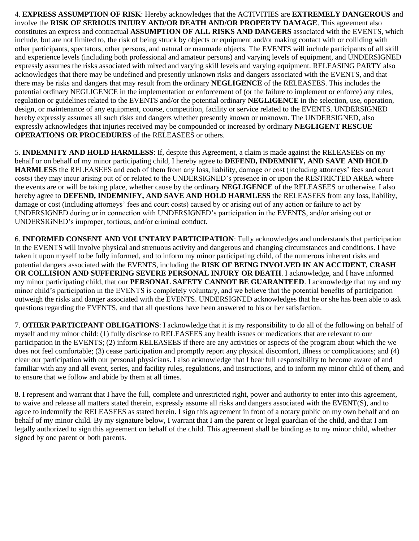4. **EXPRESS ASSUMPTION OF RISK**: Hereby acknowledges that the ACTIVITIES are **EXTREMELY DANGEROUS** and involve the **RISK OF SERIOUS INJURY AND/OR DEATH AND/OR PROPERTY DAMAGE**. This agreement also constitutes an express and contractual **ASSUMPTION OF ALL RISKS AND DANGERS** associated with the EVENTS, which include, but are not limited to, the risk of being struck by objects or equipment and/or making contact with or colliding with other participants, spectators, other persons, and natural or manmade objects. The EVENTS will include participants of all skill and experience levels (including both professional and amateur persons) and varying levels of equipment, and UNDERSIGNED expressly assumes the risks associated with mixed and varying skill levels and varying equipment. RELEASING PARTY also acknowledges that there may be undefined and presently unknown risks and dangers associated with the EVENTS, and that there may be risks and dangers that may result from the ordinary **NEGLIGENCE** of the RELEASEES. This includes the potential ordinary NEGLIGENCE in the implementation or enforcement of (or the failure to implement or enforce) any rules, regulation or guidelines related to the EVENTS and/or the potential ordinary **NEGLIGENCE** in the selection, use, operation, design, or maintenance of any equipment, course, competition, facility or service related to the EVENTS. UNDERSIGNED hereby expressly assumes all such risks and dangers whether presently known or unknown. The UNDERSIGNED, also expressly acknowledges that injuries received may be compounded or increased by ordinary **NEGLIGENT RESCUE OPERATIONS OR PROCEDURES** of the RELEASEES or others.

5. **INDEMNITY AND HOLD HARMLESS**: If, despite this Agreement, a claim is made against the RELEASEES on my behalf or on behalf of my minor participating child, I hereby agree to **DEFEND, INDEMNIFY, AND SAVE AND HOLD HARMLESS** the RELEASEES and each of them from any loss, liability, damage or cost (including attorneys' fees and court costs) they may incur arising out of or related to the UNDERSIGNED's presence in or upon the RESTRICTED AREA where the events are or will be taking place, whether cause by the ordinary **NEGLIGENCE** of the RELEASEES or otherwise. I also hereby agree to **DEFEND, INDEMNIFY, AND SAVE AND HOLD HARMLESS** the RELEASEES from any loss, liability, damage or cost (including attorneys' fees and court costs) caused by or arising out of any action or failure to act by UNDERSIGNED during or in connection with UNDERSIGNED's participation in the EVENTS, and/or arising out or UNDERSIGNED's improper, tortious, and/or criminal conduct.

6. **INFORMED CONSENT AND VOLUNTARY PARTICIPATION**: Fully acknowledges and understands that participation in the EVENTS will involve physical and strenuous activity and dangerous and changing circumstances and conditions. I have taken it upon myself to be fully informed, and to inform my minor participating child, of the numerous inherent risks and potential dangers associated with the EVENTS, including the **RISK OF BEING INVOLVED IN AN ACCIDENT, CRASH OR COLLISION AND SUFFERING SEVERE PERSONAL INJURY OR DEATH**. I acknowledge, and I have informed my minor participating child, that our **PERSONAL SAFETY CANNOT BE GUARANTEED**. I acknowledge that my and my minor child's participation in the EVENTS is completely voluntary, and we believe that the potential benefits of participation outweigh the risks and danger associated with the EVENTS. UNDERSIGNED acknowledges that he or she has been able to ask questions regarding the EVENTS, and that all questions have been answered to his or her satisfaction.

7. **OTHER PARTICIPANT OBLIGATIONS**: I acknowledge that it is my responsibility to do all of the following on behalf of myself and my minor child: (1) fully disclose to RELEASEES any health issues or medications that are relevant to our participation in the EVENTS; (2) inform RELEASEES if there are any activities or aspects of the program about which the we does not feel comfortable; (3) cease participation and promptly report any physical discomfort, illness or complications; and (4) clear our participation with our personal physicians. I also acknowledge that I bear full responsibility to become aware of and familiar with any and all event, series, and facility rules, regulations, and instructions, and to inform my minor child of them, and to ensure that we follow and abide by them at all times.

8. I represent and warrant that I have the full, complete and unrestricted right, power and authority to enter into this agreement, to waive and release all matters stated therein, expressly assume all risks and dangers associated with the EVENT(S), and to agree to indemnify the RELEASEES as stated herein. I sign this agreement in front of a notary public on my own behalf and on behalf of my minor child. By my signature below, I warrant that I am the parent or legal guardian of the child, and that I am legally authorized to sign this agreement on behalf of the child. This agreement shall be binding as to my minor child, whether signed by one parent or both parents.